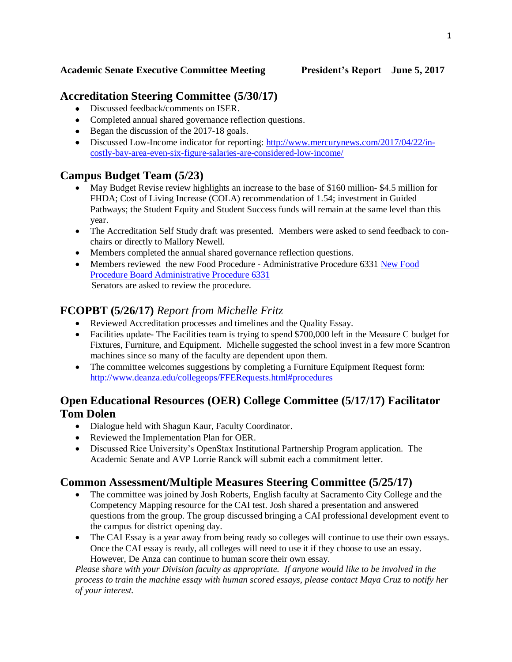#### **Academic Senate Executive Committee Meeting President's Report June 5, 2017**

## **Accreditation Steering Committee (5/30/17)**

- Discussed feedback/comments on ISER.
- Completed annual shared governance reflection questions.
- Began the discussion of the 2017-18 goals.
- Discussed Low-Income indicator for reporting: [http://www.mercurynews.com/2017/04/22/in](http://www.mercurynews.com/2017/04/22/in-costly-bay-area-even-six-figure-salaries-are-considered-low-income/)[costly-bay-area-even-six-figure-salaries-are-considered-low-income/](http://www.mercurynews.com/2017/04/22/in-costly-bay-area-even-six-figure-salaries-are-considered-low-income/)

## **Campus Budget Team (5/23)**

- May Budget Revise review highlights an increase to the base of \$160 million- \$4.5 million for FHDA; Cost of Living Increase (COLA) recommendation of 1.54; investment in Guided Pathways; the Student Equity and Student Success funds will remain at the same level than this year.
- The Accreditation Self Study draft was presented. Members were asked to send feedback to conchairs or directly to Mallory Newell.
- Members completed the annual shared governance reflection questions.
- Members reviewed the new Food Procedure Administrative Procedure 6331 [New Food](http://www.boarddocs.com/ca/fhda/Board.nsf/goto?open&id=AKVUKX7C7F98)  [Procedure Board Administrative Procedure 6331](http://www.boarddocs.com/ca/fhda/Board.nsf/goto?open&id=AKVUKX7C7F98)  Senators are asked to review the procedure.

## **FCOPBT (5/26/17)** *Report from Michelle Fritz*

- Reviewed Accreditation processes and timelines and the Quality Essay.
- Facilities update- The Facilities team is trying to spend \$700,000 left in the Measure C budget for Fixtures, Furniture, and Equipment. Michelle suggested the school invest in a few more Scantron machines since so many of the faculty are dependent upon them.
- The committee welcomes suggestions by completing a Furniture Equipment Request form: <http://www.deanza.edu/collegeops/FFERequests.html#procedures>

## **Open Educational Resources (OER) College Committee (5/17/17) Facilitator Tom Dolen**

- Dialogue held with Shagun Kaur, Faculty Coordinator.
- Reviewed the Implementation Plan for OER.
- Discussed Rice University's OpenStax Institutional Partnership Program application. The Academic Senate and AVP Lorrie Ranck will submit each a commitment letter.

#### **Common Assessment/Multiple Measures Steering Committee (5/25/17)**

- The committee was joined by Josh Roberts, English faculty at Sacramento City College and the Competency Mapping resource for the CAI test. Josh shared a presentation and answered questions from the group. The group discussed bringing a CAI professional development event to the campus for district opening day.
- The CAI Essay is a year away from being ready so colleges will continue to use their own essays. Once the CAI essay is ready, all colleges will need to use it if they choose to use an essay. However, De Anza can continue to human score their own essay.

*Please share with your Division faculty as appropriate. If anyone would like to be involved in the process to train the machine essay with human scored essays, please contact Maya Cruz to notify her of your interest.*